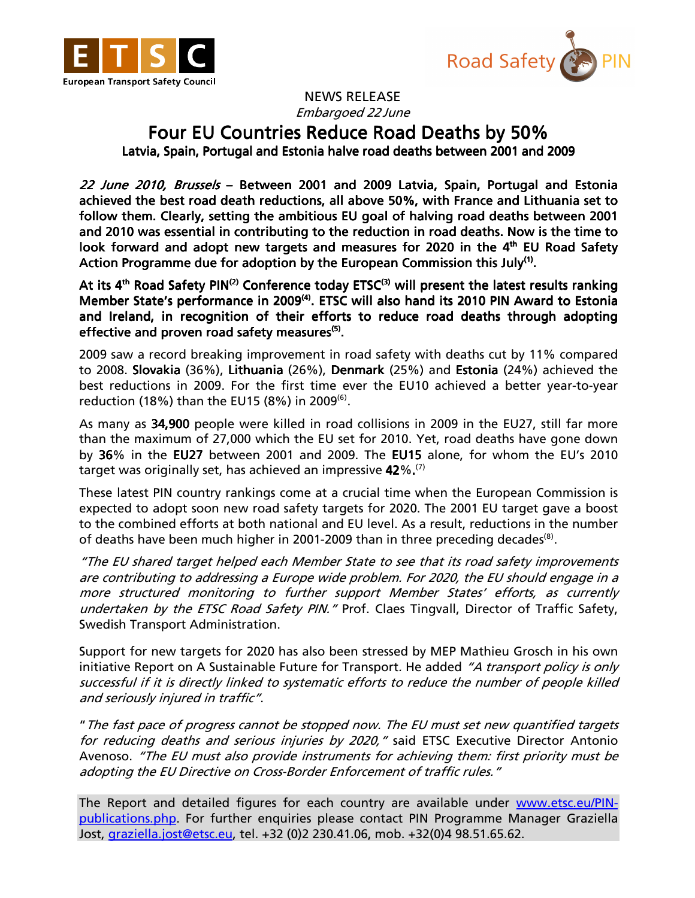



NEWS RELEASE Embargoed 22 June

## Four EU Countries Reduce Road Deaths by 50%

Latvia, Spain, Portugal and Estonia halve road deaths between 2001 and 2009

22 June 2010, Brussels – Between 2001 and 2009 Latvia, Spain, Portugal and Estonia achieved the best road death reductions, all above 50%, with France and Lithuania set to follow them. Clearly, setting the ambitious EU goal of halving road deaths between 2001 and 2010 was essential in contributing to the reduction in road deaths. Now is the time to look forward and adopt new targets and measures for 2020 in the 4<sup>th</sup> EU Road Safety Action Programme due for adoption by the European Commission this July<sup>(1)</sup>.

At its 4<sup>th</sup> Road Safety PIN<sup>(2)</sup> Conference today ETSC<sup>(3)</sup> will present the latest results ranking Member State's performance in 2009<sup>(4)</sup>. ETSC will also hand its 2010 PIN Award to Estonia and Ireland, in recognition of their efforts to reduce road deaths through adopting effective and proven road safety measures<sup>(5)</sup>.

2009 saw a record breaking improvement in road safety with deaths cut by 11% compared to 2008. Slovakia (36%), Lithuania (26%), Denmark (25%) and Estonia (24%) achieved the best reductions in 2009. For the first time ever the EU10 achieved a better year-to-year reduction (18%) than the EU15 (8%) in 2009 $^{(6)}$ .

As many as 34,900 people were killed in road collisions in 2009 in the EU27, still far more than the maximum of 27,000 which the EU set for 2010. Yet, road deaths have gone down by 36% in the EU27 between 2001 and 2009. The EU15 alone, for whom the EU's 2010 target was originally set, has achieved an impressive  $42\%$ .<sup>(7)</sup>

These latest PIN country rankings come at a crucial time when the European Commission is expected to adopt soon new road safety targets for 2020. The 2001 EU target gave a boost to the combined efforts at both national and EU level. As a result, reductions in the number of deaths have been much higher in 2001-2009 than in three preceding decades<sup>(8)</sup>.

"The EU shared target helped each Member State to see that its road safety improvements are contributing to addressing a Europe wide problem. For 2020, the EU should engage in a more structured monitoring to further support Member States' efforts, as currently undertaken by the ETSC Road Safety PIN." Prof. Claes Tingvall, Director of Traffic Safety, Swedish Transport Administration.

Support for new targets for 2020 has also been stressed by MEP Mathieu Grosch in his own initiative Report on A Sustainable Future for Transport. He added "A transport policy is only successful if it is directly linked to systematic efforts to reduce the number of people killed and seriously injured in traffic".

"The fast pace of progress cannot be stopped now. The EU must set new quantified targets for reducing deaths and serious injuries by 2020," said ETSC Executive Director Antonio Avenoso. "The EU must also provide instruments for achieving them: first priority must be adopting the EU Directive on Cross-Border Enforcement of traffic rules."

The Report and detailed figures for each country are available under www.etsc.eu/PINpublications.php. For further enquiries please contact PIN Programme Manager Graziella Jost, graziella.jost@etsc.eu, tel. +32 (0)2 230.41.06, mob. +32(0)4 98.51.65.62.